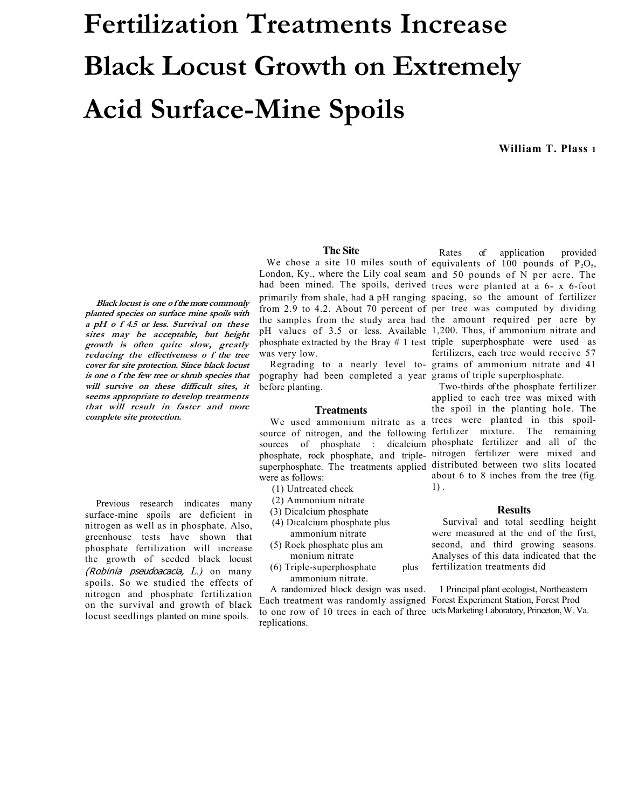# **Fertilization Treatments Increase Black Locust Growth on Extremely Acid Surface-Mine Spoils**

**William T. Plass 1**

#### **The Site**

**Black locust is one o f the more commonly planted species on surface mine spoils with a pH o f 4.5 or less. Survival on these sites may be acceptable, but height growth is often quite slow, greatly reducing the effectiveness o f the tree cover for site protection. Since black locust is one o f the few tree or shrub species that will survive on these difficult sites, it seems appropriate to develop treatments that will result in faster and more complete site protection.** 

Previous research indicates many surface-mine spoils are deficient in nitrogen as well as in phosphate. Also, greenhouse tests have shown that phosphate fertilization will increase the growth of seeded black locust (Robinia pseudoacacia, *L.)* on many spoils. So we studied the effects of nitrogen and phosphate fertilization on the survival and growth of black locust seedlings planted on mine spoils.

London, Ky., where the Lily coal seam and 50 pounds of N per acre. The had been mined. The spoils, derived trees were planted at a 6- x 6-foot primarily from shale, had a pH ranging spacing, so the amount of fertilizer from 2.9 to 4.2. About 70 percent of per tree was computed by dividing the samples from the study area had the amount required per acre by pH values of 3.5 or less. Available 1,200. Thus, if ammonium nitrate and phosphate extracted by the Bray # 1 test triple superphosphate were used as was very low.

pography had been completed a year grams of triple superphosphate. before planting.

### **Treatments**

source of nitrogen, and the following fertilizer mixture. The remaining sources of phosphate : dicalcium phosphate fertilizer and all of the phosphate, rock phosphate, and triple-nitrogen fertilizer were mixed and superphosphate. The treatments applied distributed between two slits located were as follows:

- (1) Untreated check
- (2) Ammonium nitrate
- (3) Dicalcium phosphate
- (4) Dicalcium phosphate plus ammonium nitrate
- (5) Rock phosphate plus am monium nitrate
- (6) Triple-superphosphate plus
- ammonium nitrate. A randomized block design was used.

Each treatment was randomly assigned Forest Experiment Station, Forest Prod to one row of 10 trees in each of three ucts Marketing Laboratory, Princeton, W. Va. replications.

We chose a site 10 miles south of equivalents of  $100$  pounds of  $P_2O_5$ , Regrading to a nearly level to-grams of ammonium nitrate and 41 Rates of application provided fertilizers, each tree would receive 57

We used ammonium nitrate as a trees were planted in this spoil-Two-thirds of the phosphate fertilizer applied to each tree was mixed with the spoil in the planting hole. The about 6 to 8 inches from the tree (fig. 1) .

#### **Results**

Survival and total seedling height were measured at the end of the first, second, and third growing seasons. Analyses of this data indicated that the fertilization treatments did

1 Principal plant ecologist, Northeastern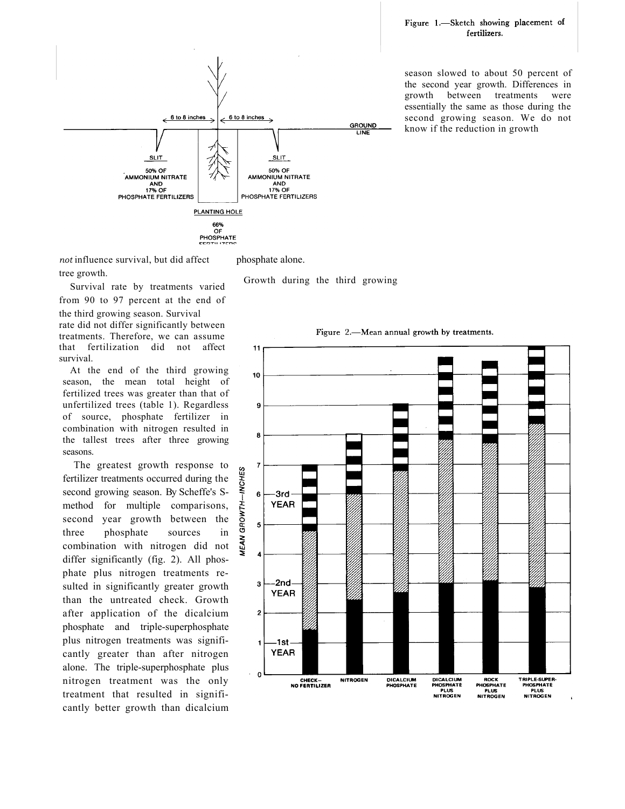

season slowed to about 50 percent of the second year growth. Differences in growth between treatments were essentially the same as those during the second growing season. We do not know if the reduction in growth

*not* influence survival, but did affect tree growth.

phosphate alone.

Survival rate by treatments varied from 90 to 97 percent at the end of the third growing season. Survival rate did not differ significantly between treatments. Therefore, we can assume that fertilization did not affect survival.

At the end of the third growing season, the mean total height of fertilized trees was greater than that of unfertilized trees (table 1). Regardless of source, phosphate fertilizer in combination with nitrogen resulted in the tallest trees after three growing seasons.

The greatest growth response to fertilizer treatments occurred during the second growing season. By Scheffe's Smethod for multiple comparisons, second year growth between the three phosphate sources in combination with nitrogen did not differ significantly (fig. 2). All phosphate plus nitrogen treatments resulted in significantly greater growth than the untreated check. Growth after application of the dicalcium phosphate and triple-superphosphate plus nitrogen treatments was significantly greater than after nitrogen alone. The triple-superphosphate plus nitrogen treatment was the only treatment that resulted in significantly better growth than dicalcium

Growth during the third growing

Figure 2.—Mean annual growth by treatments.